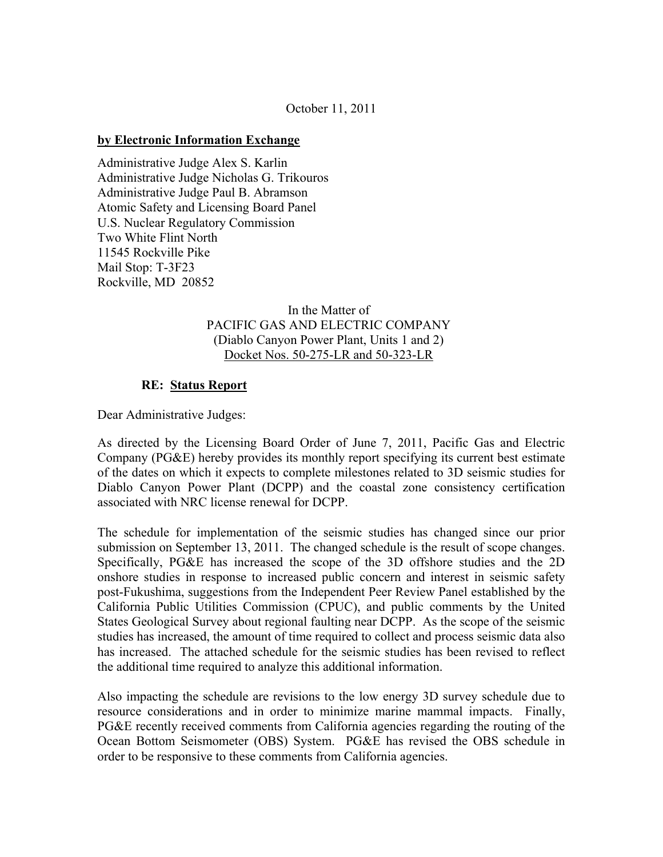## October 11, 2011

#### **by Electronic Information Exchange**

Administrative Judge Alex S. Karlin Administrative Judge Nicholas G. Trikouros Administrative Judge Paul B. Abramson Atomic Safety and Licensing Board Panel U.S. Nuclear Regulatory Commission Two White Flint North 11545 Rockville Pike Mail Stop: T-3F23 Rockville, MD 20852

# In the Matter of PACIFIC GAS AND ELECTRIC COMPANY (Diablo Canyon Power Plant, Units 1 and 2) Docket Nos. 50-275-LR and 50-323-LR

## **RE: Status Report**

Dear Administrative Judges:

As directed by the Licensing Board Order of June 7, 2011, Pacific Gas and Electric Company (PG&E) hereby provides its monthly report specifying its current best estimate of the dates on which it expects to complete milestones related to 3D seismic studies for Diablo Canyon Power Plant (DCPP) and the coastal zone consistency certification associated with NRC license renewal for DCPP.

The schedule for implementation of the seismic studies has changed since our prior submission on September 13, 2011. The changed schedule is the result of scope changes. Specifically, PG&E has increased the scope of the 3D offshore studies and the 2D onshore studies in response to increased public concern and interest in seismic safety post-Fukushima, suggestions from the Independent Peer Review Panel established by the California Public Utilities Commission (CPUC), and public comments by the United States Geological Survey about regional faulting near DCPP. As the scope of the seismic studies has increased, the amount of time required to collect and process seismic data also has increased. The attached schedule for the seismic studies has been revised to reflect the additional time required to analyze this additional information.

Also impacting the schedule are revisions to the low energy 3D survey schedule due to resource considerations and in order to minimize marine mammal impacts. Finally, PG&E recently received comments from California agencies regarding the routing of the Ocean Bottom Seismometer (OBS) System. PG&E has revised the OBS schedule in order to be responsive to these comments from California agencies.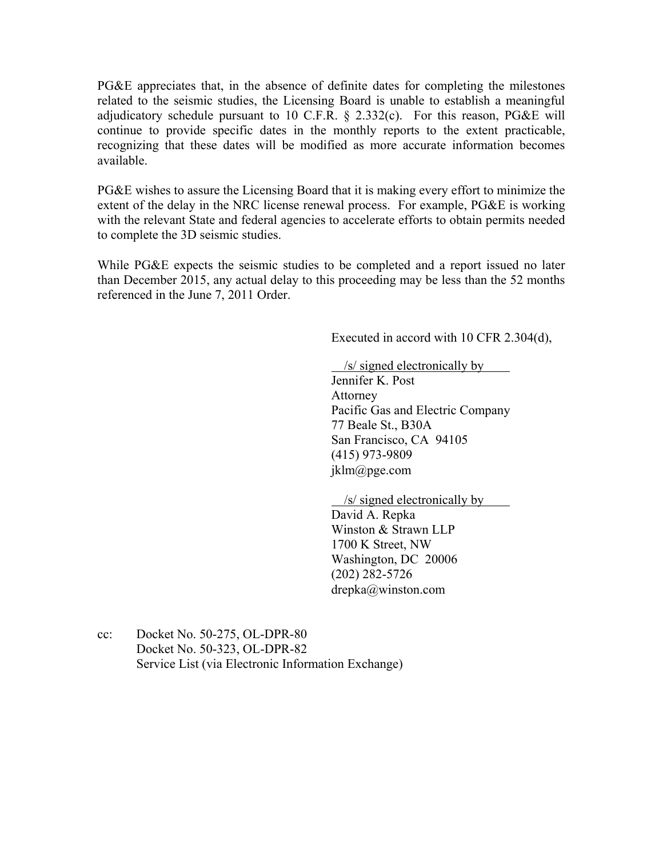PG&E appreciates that, in the absence of definite dates for completing the milestones related to the seismic studies, the Licensing Board is unable to establish a meaningful adjudicatory schedule pursuant to 10 C.F.R.  $\S$  2.332(c). For this reason, PG&E will continue to provide specific dates in the monthly reports to the extent practicable, recognizing that these dates will be modified as more accurate information becomes available.

PG&E wishes to assure the Licensing Board that it is making every effort to minimize the extent of the delay in the NRC license renewal process. For example, PG&E is working with the relevant State and federal agencies to accelerate efforts to obtain permits needed to complete the 3D seismic studies.

While PG&E expects the seismic studies to be completed and a report issued no later than December 2015, any actual delay to this proceeding may be less than the 52 months referenced in the June 7, 2011 Order.

Executed in accord with 10 CFR 2.304(d),

/s/ signed electronically by

Jennifer K. Post Attorney Pacific Gas and Electric Company 77 Beale St., B30A San Francisco, CA 94105 (415) 973-9809 jklm@pge.com

/s/ signed electronically by

David A. Repka Winston & Strawn LLP 1700 K Street, NW Washington, DC 20006 (202) 282-5726 drepka@winston.com

cc: Docket No. 50-275, OL-DPR-80 Docket No. 50-323, OL-DPR-82 Service List (via Electronic Information Exchange)